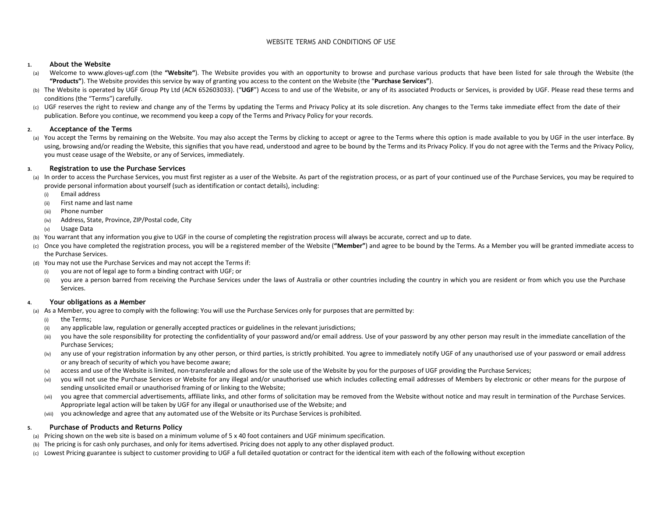# WEBSITE TERMS AND CONDITIONS OF USE

### **1.About the Website**

- ) Welcome to www.gloves-ugf.com (the "Website"). The Website provides you with an opportunity to browse and purchase various products that have been listed for sale through the Website (the (a)**"Products"**). The Website provides this service by way of granting you access to the content on the Website (the "**Purchase Services"**).
- (b) The Website is operated by UGF Group Pty Ltd (ACN 652603033). ("**UGF**") Access to and use of the Website, or any of its associated Products or Services, is provided by UGF. Please read these terms and conditions (the "Terms") carefully.
- (c) UGF reserves the right to review and change any of the Terms by updating the Terms and Privacy Policy at its sole discretion. Any changes to the Terms take immediate effect from the date of their publication. Before you continue, we recommend you keep a copy of the Terms and Privacy Policy for your records.

## **2.Acceptance of the Terms**

(a) You accept the Terms by remaining on the Website. You may also accept the Terms by clicking to accept or agree to the Terms where this option is made available to you by UGF in the user interface. By using, browsing and/or reading the Website, this signifies that you have read, understood and agree to be bound by the Terms and its Privacy Policy. If you do not agree with the Terms and the Privacy Policy, you must cease usage of the Website, or any of Services, immediately.

## **3.Registration to use the Purchase Services**

- (a) In order to access the Purchase Services, you must first register as a user of the Website. As part of the registration process, or as part of your continued use of the Purchase Services, you may be required to provide personal information about yourself (such as identification or contact details), including:
	- (i)Email address
	- (ii)First name and last name
	- (iii)Phone number
	- (iv) Address, State, Province, ZIP/Postal code, City
	- (v) Usage Data
- (b) You warrant that any information you give to UGF in the course of completing the registration process will always be accurate, correct and up to date.
- (c) Once you have completed the registration process, you will be a registered member of the Website (**"Member"**) and agree to be bound by the Terms. As a Member you will be granted immediate access to the Purchase Services.
- (d) You may not use the Purchase Services and may not accept the Terms if:
	- (i)you are not of legal age to form a binding contract with UGF; or
	- (ii)you are a person barred from receiving the Purchase Services under the laws of Australia or other countries including the country in which you are resident or from which you use the Purchase Services.

#### **4.Your obligations as a Member**

(a) As a Member, you agree to comply with the following: You will use the Purchase Services only for purposes that are permitted by:

- (i)the Terms;
- (ii)any applicable law, regulation or generally accepted practices or guidelines in the relevant jurisdictions;
- (iii)you have the sole responsibility for protecting the confidentiality of your password and/or email address. Use of your password by any other person may result in the immediate cancellation of the Purchase Services;
- (iv)any use of your registration information by any other person, or third parties, is strictly prohibited. You agree to immediately notify UGF of any unauthorised use of your password or email address or any breach of security of which you have become aware;
- (v)access and use of the Website is limited, non-transferable and allows for the sole use of the Website by you for the purposes of UGF providing the Purchase Services;
- $(vi)$ you will not use the Purchase Services or Website for any illegal and/or unauthorised use which includes collecting email addresses of Members by electronic or other means for the purpose of sending unsolicited email or unauthorised framing of or linking to the Website;
- (vii) you agree that commercial advertisements, affiliate links, and other forms of solicitation may be removed from the Website without notice and may result in termination of the Purchase Services. Appropriate legal action will be taken by UGF for any illegal or unauthorised use of the Website; and
- you acknowledge and agree that any automated use of the Website or its Purchase Services is prohibited. (viii)

# **5.Purchase of Products and Returns Policy**

- (a) Pricing shown on the web site is based on a minimum volume of 5 x 40 foot containers and UGF minimum specification.
- (b) The pricing is for cash only purchases, and only for items advertised. Pricing does not apply to any other displayed product.
- (c) Lowest Pricing guarantee is subject to customer providing to UGF a full detailed quotation or contract for the identical item with each of the following without exception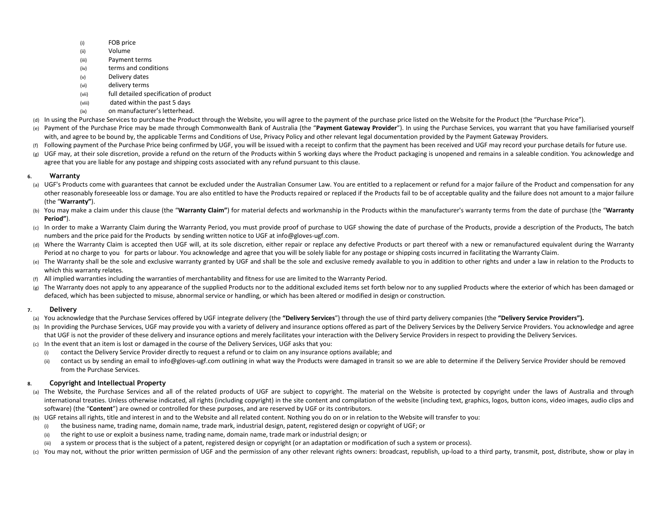- (i)FOB price
- (ii)Volume
- (iii)Payment terms
- (iv)terms and conditions
- (v)Delivery dates
- (vi)delivery terms
- (vii)full detailed specification of product
- (viii) dated within the past 5 days
- (ix)on manufacturer's letterhead.
- (d) In using the Purchase Services to purchase the Product through the Website, you will agree to the payment of the purchase price listed on the Website for the Product (the "Purchase Price").
- (e) Payment of the Purchase Price may be made through Commonwealth Bank of Australia (the "**Payment Gateway Provider**"). In using the Purchase Services, you warrant that you have familiarised yourself with, and agree to be bound by, the applicable Terms and Conditions of Use, Privacy Policy and other relevant legal documentation provided by the Payment Gateway Providers.
- (f) Following payment of the Purchase Price being confirmed by UGF, you will be issued with a receipt to confirm that the payment has been received and UGF may record your purchase details for future use.
- (g)UGF may, at their sole discretion, provide a refund on the return of the Products within 5 working days where the Product packaging is unopened and remains in a saleable condition. You acknowledge and agree that you are liable for any postage and shipping costs associated with any refund pursuant to this clause.

# **6.Warranty**

- (a) UGF's Products come with guarantees that cannot be excluded under the Australian Consumer Law. You are entitled to a replacement or refund for a major failure of the Product and compensation for any other reasonably foreseeable loss or damage. You are also entitled to have the Products repaired or replaced if the Products fail to be of acceptable quality and the failure does not amount to a major failure (the "**Warranty"**).
- (b) You may make a claim under this clause (the "**Warranty Claim"**) for material defects and workmanship in the Products within the manufacturer's warranty terms from the date of purchase (the "**Warranty Period"**).
- (c) In order to make a Warranty Claim during the Warranty Period, you must provide proof of purchase to UGF showing the date of purchase of the Products, provide a description of the Products, The batch numbers and the price paid for the Products by sending written notice to UGF at info@gloves-ugf.com.
- (d) Where the Warranty Claim is accepted then UGF will, at its sole discretion, either repair or replace any defective Products or part thereof with a new or remanufactured equivalent during the Warranty Period at no charge to you for parts or labour. You acknowledge and agree that you will be solely liable for any postage or shipping costs incurred in facilitating the Warranty Claim.
- (e) The Warranty shall be the sole and exclusive warranty granted by UGF and shall be the sole and exclusive remedy available to you in addition to other rights and under a law in relation to the Products to which this warranty relates.
- (f)All implied warranties including the warranties of merchantability and fitness for use are limited to the Warranty Period.
- (g) The Warranty does not apply to any appearance of the supplied Products nor to the additional excluded items set forth below nor to any supplied Products where the exterior of which has been damaged or defaced, which has been subjected to misuse, abnormal service or handling, or which has been altered or modified in design or construction.

#### **7.Delivery**

- (a) You acknowledge that the Purchase Services offered by UGF integrate delivery (the **"Delivery Services**") through the use of third party delivery companies (the **"Delivery Service Providers").**
- (b) In providing the Purchase Services, UGF may provide you with a variety of delivery and insurance options offered as part of the Delivery Services by the Delivery Service Providers. You acknowledge and agree that UGF is not the provider of these delivery and insurance options and merely facilitates your interaction with the Delivery Service Providers in respect to providing the Delivery Services.
- (c) In the event that an item is lost or damaged in the course of the Delivery Services, UGF asks that you:
	- (i)contact the Delivery Service Provider directly to request a refund or to claim on any insurance options available; and
	- (ii)contact us by sending an email to info@gloves-ugf.com outlining in what way the Products were damaged in transit so we are able to determine if the Delivery Service Provider should be removed from the Purchase Services.

# **8.Copyright and Intellectual Property**

- (a) The Website, the Purchase Services and all of the related products of UGF are subject to copyright. The material on the Website is protected by copyright under the laws of Australia and through international treaties. Unless otherwise indicated, all rights (including copyright) in the site content and compilation of the website (including text, graphics, logos, button icons, video images, audio clips and software) (the "**Content**") are owned or controlled for these purposes, and are reserved by UGF or its contributors.
- (b) UGF retains all rights, title and interest in and to the Website and all related content. Nothing you do on or in relation to the Website will transfer to you:
	- (i)the business name, trading name, domain name, trade mark, industrial design, patent, registered design or copyright of UGF; or
	- (ii)the right to use or exploit a business name, trading name, domain name, trade mark or industrial design; or
	- (iii)a system or process that is the subject of a patent, registered design or copyright (or an adaptation or modification of such a system or process).
- (c) You may not, without the prior written permission of UGF and the permission of any other relevant rights owners: broadcast, republish, up-load to a third party, transmit, post, distribute, show or play in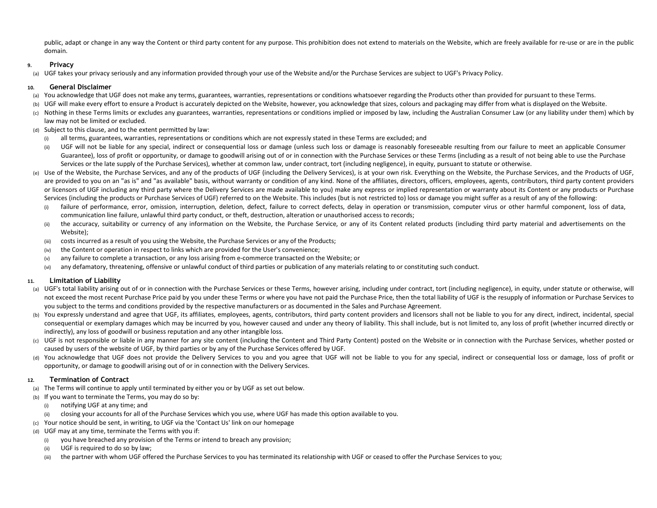public, adapt or change in any way the Content or third party content for any purpose. This prohibition does not extend to materials on the Website, which are freely available for re-use or are in the public domain.

## **9.Privacy**

 UGF takes your privacy seriously and any information provided through your use of the Website and/or the Purchase Services are subject to UGF's Privacy Policy. (a)

## **10.General Disclaimer**

- (a) You acknowledge that UGF does not make any terms, guarantees, warranties, representations or conditions whatsoever regarding the Products other than provided for pursuant to these Terms.
- (b)UGF will make every effort to ensure a Product is accurately depicted on the Website, however, you acknowledge that sizes, colours and packaging may differ from what is displayed on the Website.
- (c) Nothing in these Terms limits or excludes any guarantees, warranties, representations or conditions implied or imposed by law, including the Australian Consumer Law (or any liability under them) which by law may not be limited or excluded.
- (d) Subject to this clause, and to the extent permitted by law:
	- (i)all terms, guarantees, warranties, representations or conditions which are not expressly stated in these Terms are excluded; and
	- (ii)UGF will not be liable for any special, indirect or consequential loss or damage (unless such loss or damage is reasonably foreseeable resulting from our failure to meet an applicable Consumer Guarantee), loss of profit or opportunity, or damage to goodwill arising out of or in connection with the Purchase Services or these Terms (including as a result of not being able to use the Purchase Services or the late supply of the Purchase Services), whether at common law, under contract, tort (including negligence), in equity, pursuant to statute or otherwise.
- (e) Use of the Website, the Purchase Services, and any of the products of UGF (including the Delivery Services), is at your own risk. Everything on the Website, the Purchase Services, and the Products of UGF, are provided to you on an "as is" and "as available" basis, without warranty or condition of any kind. None of the affiliates, directors, officers, employees, agents, contributors, third party content providers or licensors of UGF including any third party where the Delivery Services are made available to you) make any express or implied representation or warranty about its Content or any products or Purchase Services (including the products or Purchase Services of UGF) referred to on the Website. This includes (but is not restricted to) loss or damage you might suffer as a result of any of the following:
	- (i)failure of performance, error, omission, interruption, deletion, defect, failure to correct defects, delay in operation or transmission, computer virus or other harmful component, loss of data, communication line failure, unlawful third party conduct, or theft, destruction, alteration or unauthorised access to records;
	- (ii) the accuracy, suitability or currency of any information on the Website, the Purchase Service, or any of its Content related products (including third party material and advertisements on the Website);
	- costs incurred as a result of you using the Website, the Purchase Services or any of the Products; (iii)
	- (iv)the Content or operation in respect to links which are provided for the User's convenience;
	- (v)any failure to complete a transaction, or any loss arising from e-commerce transacted on the Website; or
	- (vi)any defamatory, threatening, offensive or unlawful conduct of third parties or publication of any materials relating to or constituting such conduct.

# **11.Limitation of Liability**

- (a) UGF's total liability arising out of or in connection with the Purchase Services or these Terms, however arising, including under contract, tort (including negligence), in equity, under statute or otherwise, will not exceed the most recent Purchase Price paid by you under these Terms or where you have not paid the Purchase Price, then the total liability of UGF is the resupply of information or Purchase Services to you subject to the terms and conditions provided by the respective manufacturers or as documented in the Sales and Purchase Agreement.
- (b) You expressly understand and agree that UGF, its affiliates, employees, agents, contributors, third party content providers and licensors shall not be liable to you for any direct, indirect, incidental, special consequential or exemplary damages which may be incurred by you, however caused and under any theory of liability. This shall include, but is not limited to, any loss of profit (whether incurred directly or indirectly), any loss of goodwill or business reputation and any other intangible loss.
- (c) UGF is not responsible or liable in any manner for any site content (including the Content and Third Party Content) posted on the Website or in connection with the Purchase Services, whether posted or caused by users of the website of UGF, by third parties or by any of the Purchase Services offered by UGF.
- (d) You acknowledge that UGF does not provide the Delivery Services to you and you agree that UGF will not be liable to you for any special, indirect or consequential loss or damage, loss of profit or opportunity, or damage to goodwill arising out of or in connection with the Delivery Services.

# **12.Termination of Contract**

- (a) The Terms will continue to apply until terminated by either you or by UGF as set out below.
- (b) If you want to terminate the Terms, you may do so by:
	- (i)notifying UGF at any time; and
	- (ii)closing your accounts for all of the Purchase Services which you use, where UGF has made this option available to you.
- (c) Your notice should be sent, in writing, to UGF via the 'Contact Us' link on our homepage
- (d) UGF may at any time, terminate the Terms with you if:
	- (i)you have breached any provision of the Terms or intend to breach any provision;
	- (ii)UGF is required to do so by law;
	- (iii)the partner with whom UGF offered the Purchase Services to you has terminated its relationship with UGF or ceased to offer the Purchase Services to you;